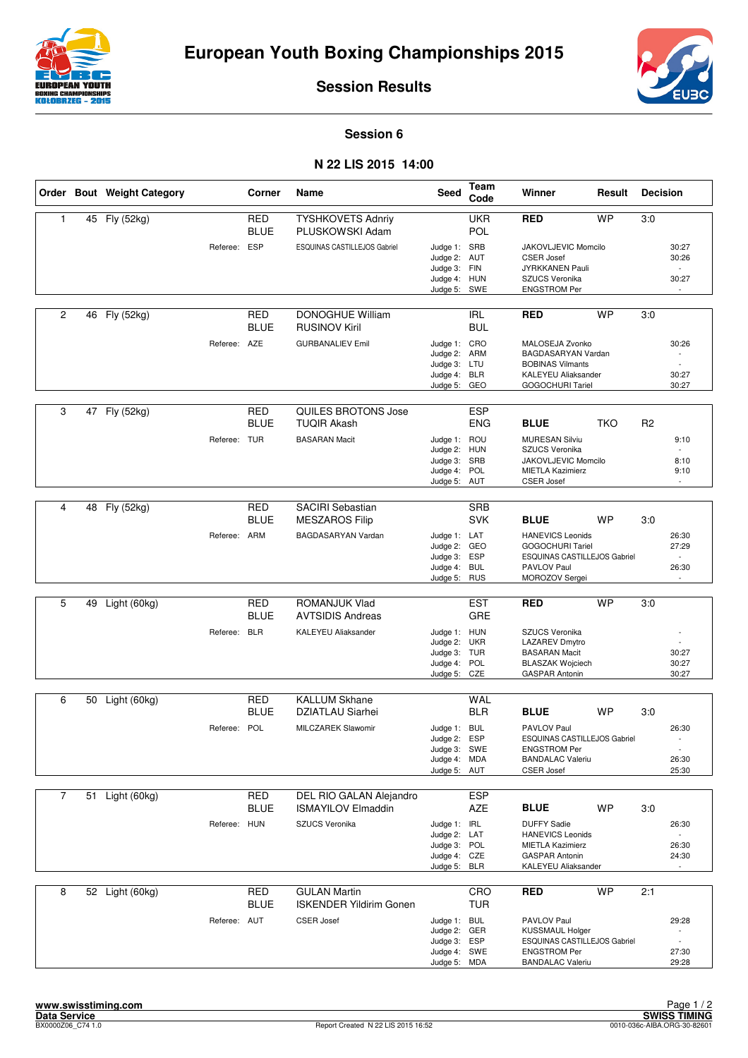



**Session Results**

## **Session 6**

## **N 22 LIS 2015 14:00**

|                |    | Order Bout Weight Category |              | Corner                    | Name                                                | <b>Seed</b>                                                                  | Team<br>Code             | Winner                                                                                               | Result     | <b>Decision</b> |                                   |
|----------------|----|----------------------------|--------------|---------------------------|-----------------------------------------------------|------------------------------------------------------------------------------|--------------------------|------------------------------------------------------------------------------------------------------|------------|-----------------|-----------------------------------|
| 1              |    | 45 Fly (52kg)              |              | <b>RED</b><br><b>BLUE</b> | <b>TYSHKOVETS Adnriy</b><br>PLUSKOWSKI Adam         |                                                                              | <b>UKR</b><br>POL        | <b>RED</b>                                                                                           | <b>WP</b>  | 3:0             |                                   |
|                |    |                            | Referee: ESP |                           | <b>ESQUINAS CASTILLEJOS Gabriel</b>                 | Judge 1: SRB<br>Judge 2: AUT<br>Judge 3: FIN<br>Judge 4: HUN<br>Judge 5: SWE |                          | JAKOVLJEVIC Momcilo<br><b>CSER Josef</b><br>JYRKKANEN Pauli<br>SZUCS Veronika<br><b>ENGSTROM Per</b> |            |                 | 30:27<br>30:26<br>30:27<br>$\sim$ |
|                |    |                            |              |                           |                                                     |                                                                              |                          |                                                                                                      |            |                 |                                   |
| $\overline{c}$ | 46 | Fly (52kg)                 |              | RED<br><b>BLUE</b>        | DONOGHUE William<br><b>RUSINOV Kiril</b>            |                                                                              | <b>IRL</b><br><b>BUL</b> | <b>RED</b>                                                                                           | <b>WP</b>  | 3.0             |                                   |
|                |    |                            | Referee: AZE |                           | <b>GURBANALIEV Emil</b>                             | Judge 1: CRO<br>Judge 2: ARM<br>Judge 3: LTU<br>Judge 4: BLR                 |                          | MALOSEJA Zvonko<br>BAGDASARYAN Vardan<br><b>BOBINAS Vilmants</b><br>KALEYEU Aliaksander              |            |                 | 30:26<br>$\sim$<br>30:27          |
|                |    |                            |              |                           |                                                     | Judge 5: GEO                                                                 |                          | <b>GOGOCHURI Tariel</b>                                                                              |            |                 | 30:27                             |
| 3              |    | 47 Fly (52kg)              |              | <b>RED</b><br><b>BLUE</b> | QUILES BROTONS Jose<br><b>TUQIR Akash</b>           |                                                                              | <b>ESP</b><br><b>ENG</b> | <b>BLUE</b>                                                                                          | <b>TKO</b> | R <sub>2</sub>  |                                   |
|                |    |                            | Referee: TUR |                           | <b>BASARAN Macit</b>                                | Judge 1: ROU<br>Judge 2: HUN<br>Judge 3: SRB<br>Judge 4: POL                 |                          | <b>MURESAN Silviu</b><br>SZUCS Veronika<br>JAKOVLJEVIC Momcilo<br><b>MIETLA Kazimierz</b>            |            |                 | 9:10<br>8:10<br>9:10              |
|                |    |                            |              |                           |                                                     | Judge 5: AUT                                                                 |                          | <b>CSER Josef</b>                                                                                    |            |                 | $\sim$                            |
| 4              | 48 | Fly (52kg)                 |              | <b>RED</b>                | <b>SACIRI Sebastian</b>                             |                                                                              | <b>SRB</b>               |                                                                                                      |            |                 |                                   |
|                |    |                            |              | <b>BLUE</b>               | <b>MESZAROS Filip</b>                               |                                                                              | <b>SVK</b>               | <b>BLUE</b>                                                                                          | <b>WP</b>  | 3:0             |                                   |
|                |    |                            | Referee: ARM |                           | BAGDASARYAN Vardan                                  | Judge 1: LAT<br>Judge 2: GEO<br>Judge 3: ESP                                 |                          | <b>HANEVICS Leonids</b><br>GOGOCHURI Tariel<br><b>ESQUINAS CASTILLEJOS Gabriel</b>                   |            |                 | 26:30<br>27:29                    |
|                |    |                            |              |                           |                                                     | Judge 4: BUL<br>Judge 5: RUS                                                 |                          | PAVLOV Paul<br>MOROZOV Sergei                                                                        |            |                 | 26:30                             |
|                |    |                            |              |                           |                                                     |                                                                              |                          |                                                                                                      |            |                 |                                   |
| 5              | 49 | Light (60kg)               |              | <b>RED</b><br><b>BLUE</b> | ROMANJUK Vlad<br><b>AVTSIDIS Andreas</b>            |                                                                              | <b>EST</b><br>GRE        | <b>RED</b>                                                                                           | <b>WP</b>  | 3:0             |                                   |
|                |    |                            | Referee: BLR |                           | <b>KALEYEU Aliaksander</b>                          | Judge 1: HUN<br>Judge 2: UKR                                                 |                          | SZUCS Veronika<br><b>LAZAREV Dmytro</b>                                                              |            |                 |                                   |
|                |    |                            |              |                           |                                                     | Judge 3: TUR                                                                 |                          | <b>BASARAN Macit</b>                                                                                 |            |                 | 30:27                             |
|                |    |                            |              |                           |                                                     | Judge 4: POL<br>Judge 5: CZE                                                 |                          | <b>BLASZAK Wojciech</b><br><b>GASPAR Antonin</b>                                                     |            |                 | 30:27<br>30:27                    |
|                |    |                            |              |                           |                                                     |                                                                              |                          |                                                                                                      |            |                 |                                   |
| 6              | 50 | Light (60kg)               |              | <b>RED</b><br><b>BLUE</b> | <b>KALLUM Skhane</b><br><b>DZIATLAU Siarhei</b>     |                                                                              | <b>WAL</b><br><b>BLR</b> | <b>BLUE</b>                                                                                          | <b>WP</b>  | 3:0             |                                   |
|                |    |                            | Referee: POL |                           | MILCZAREK Slawomir                                  | Judge 1: BUL                                                                 |                          | PAVLOV Paul                                                                                          |            |                 | 26:30                             |
|                |    |                            |              |                           |                                                     | Judge 2: ESP<br>Judge 3: SWE                                                 |                          | ESQUINAS CASTILLEJOS Gabriel<br><b>ENGSTROM Per</b>                                                  |            |                 |                                   |
|                |    |                            |              |                           |                                                     | Judge 4: MDA<br>Judge 5: AUT                                                 |                          | <b>BANDALAC Valeriu</b>                                                                              |            |                 | 26:30                             |
|                |    |                            |              |                           |                                                     |                                                                              |                          | <b>CSER Josef</b>                                                                                    |            |                 | 25:30                             |
| $\overline{7}$ |    | 51 Light (60kg)            |              | <b>RED</b>                | DEL RIO GALAN Alejandro                             |                                                                              | <b>ESP</b>               |                                                                                                      |            |                 |                                   |
|                |    |                            |              | <b>BLUE</b>               | <b>ISMAYILOV Elmaddin</b>                           |                                                                              | AZE                      | <b>BLUE</b>                                                                                          | <b>WP</b>  | 3:0             |                                   |
|                |    |                            | Referee: HUN |                           | SZUCS Veronika                                      | Judge 1: IRL<br>Judge 2: LAT                                                 |                          | <b>DUFFY Sadie</b><br><b>HANEVICS Leonids</b>                                                        |            |                 | 26:30                             |
|                |    |                            |              |                           |                                                     | Judge 3: POL<br>Judge 4: CZE                                                 |                          | <b>MIETLA Kazimierz</b><br><b>GASPAR Antonin</b>                                                     |            |                 | 26:30<br>24:30                    |
|                |    |                            |              |                           |                                                     | Judge 5: BLR                                                                 |                          | KALEYEU Aliaksander                                                                                  |            |                 | $\sim$                            |
| 8              |    | 52 Light (60kg)            |              | <b>RED</b>                | <b>GULAN Martin</b>                                 |                                                                              | CRO                      | <b>RED</b>                                                                                           | <b>WP</b>  | 2:1             |                                   |
|                |    |                            | Referee: AUT | <b>BLUE</b>               | <b>ISKENDER Yildirim Gonen</b><br><b>CSER Josef</b> | Judge 1: BUL                                                                 | <b>TUR</b>               | PAVLOV Paul                                                                                          |            |                 | 29:28                             |
|                |    |                            |              |                           |                                                     | Judge 2: GER<br>Judge 3: ESP                                                 |                          | <b>KUSSMAUL Holger</b><br>ESQUINAS CASTILLEJOS Gabriel                                               |            |                 | $\blacksquare$                    |
|                |    |                            |              |                           |                                                     | Judge 4: SWE<br>Judge 5: MDA                                                 |                          | <b>ENGSTROM Per</b><br><b>BANDALAC Valeriu</b>                                                       |            |                 | 27:30<br>29:28                    |